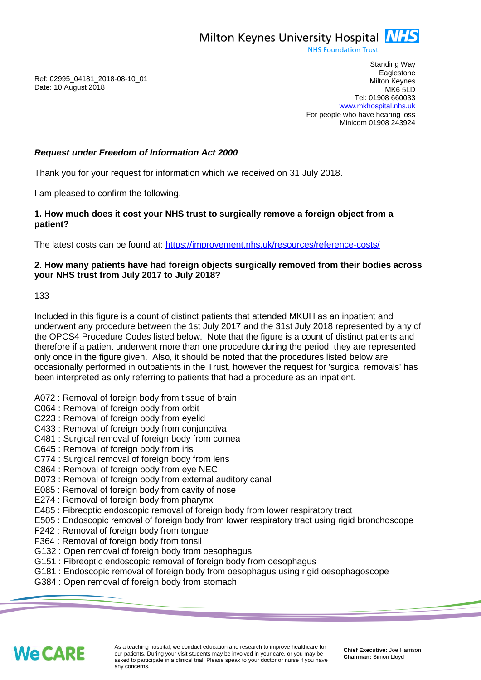Milton Keynes University Hospital **NHS** 

**NHS Foundation Trust** 

Ref: 02995\_04181\_2018-08-10\_01 Date: 10 August 2018

Standing Way **Eaglestone** Milton Keynes MK6 5LD Tel: 01908 660033 [www.mkhospital.nhs.uk](http://www.mkhospital.nhs.uk/) For people who have hearing loss Minicom 01908 243924

## *Request under Freedom of Information Act 2000*

Thank you for your request for information which we received on 31 July 2018.

I am pleased to confirm the following.

**1. How much does it cost your NHS trust to surgically remove a foreign object from a patient?**

The latest costs can be found at: <https://improvement.nhs.uk/resources/reference-costs/>

## **2. How many patients have had foreign objects surgically removed from their bodies across your NHS trust from July 2017 to July 2018?**

133

Included in this figure is a count of distinct patients that attended MKUH as an inpatient and underwent any procedure between the 1st July 2017 and the 31st July 2018 represented by any of the OPCS4 Procedure Codes listed below. Note that the figure is a count of distinct patients and therefore if a patient underwent more than one procedure during the period, they are represented only once in the figure given. Also, it should be noted that the procedures listed below are occasionally performed in outpatients in the Trust, however the request for 'surgical removals' has been interpreted as only referring to patients that had a procedure as an inpatient.

- A072 : Removal of foreign body from tissue of brain
- C064 : Removal of foreign body from orbit
- C223 : Removal of foreign body from eyelid
- C433 : Removal of foreign body from conjunctiva
- C481 : Surgical removal of foreign body from cornea
- C645 : Removal of foreign body from iris
- C774 : Surgical removal of foreign body from lens
- C864 : Removal of foreign body from eye NEC
- D073 : Removal of foreign body from external auditory canal
- E085 : Removal of foreign body from cavity of nose
- E274 : Removal of foreign body from pharynx
- E485 : Fibreoptic endoscopic removal of foreign body from lower respiratory tract
- E505 : Endoscopic removal of foreign body from lower respiratory tract using rigid bronchoscope
- F242 : Removal of foreign body from tongue
- F364 : Removal of foreign body from tonsil
- G132 : Open removal of foreign body from oesophagus
- G151 : Fibreoptic endoscopic removal of foreign body from oesophagus
- G181 : Endoscopic removal of foreign body from oesophagus using rigid oesophagoscope
- G384 : Open removal of foreign body from stomach